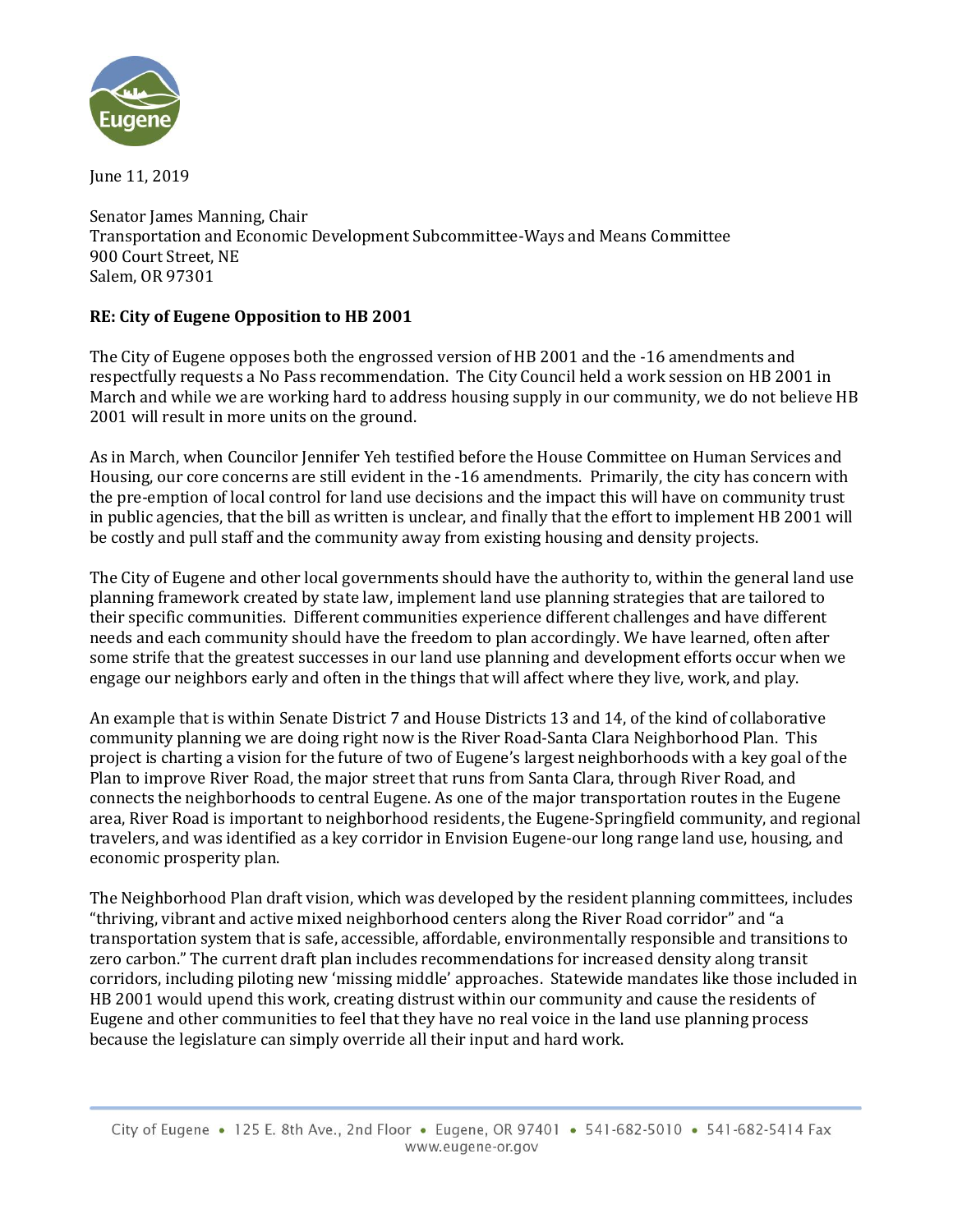

June 11, 2019

Senator James Manning, Chair Transportation and Economic Development Subcommittee-Ways and Means Committee 900 Court Street, NE Salem, OR 97301

## **RE: City of Eugene Opposition to HB 2001**

The City of Eugene opposes both the engrossed version of HB 2001 and the -16 amendments and respectfully requests a No Pass recommendation. The City Council held a work session on HB 2001 in March and while we are working hard to address housing supply in our community, we do not believe HB 2001 will result in more units on the ground.

As in March, when Councilor Jennifer Yeh testified before the House Committee on Human Services and Housing, our core concerns are still evident in the -16 amendments. Primarily, the city has concern with the pre-emption of local control for land use decisions and the impact this will have on community trust in public agencies, that the bill as written is unclear, and finally that the effort to implement HB 2001 will be costly and pull staff and the community away from existing housing and density projects.

The City of Eugene and other local governments should have the authority to, within the general land use planning framework created by state law, implement land use planning strategies that are tailored to their specific communities. Different communities experience different challenges and have different needs and each community should have the freedom to plan accordingly. We have learned, often after some strife that the greatest successes in our land use planning and development efforts occur when we engage our neighbors early and often in the things that will affect where they live, work, and play.

An example that is within Senate District 7 and House Districts 13 and 14, of the kind of collaborative community planning we are doing right now is the River Road-Santa Clara Neighborhood Plan. This project is charting a vision for the future of two of Eugene's largest neighborhoods with a key goal of the Plan to improve River Road, the major street that runs from Santa Clara, through River Road, and connects the neighborhoods to central Eugene. As one of the major transportation routes in the Eugene area, River Road is important to neighborhood residents, the Eugene-Springfield community, and regional travelers, and was identified as a key corridor in Envision Eugene-our long range land use, housing, and economic prosperity plan.

The Neighborhood Plan draft vision, which was developed by the resident planning committees, includes "thriving, vibrant and active mixed neighborhood centers along the River Road corridor" and "a transportation system that is safe, accessible, affordable, environmentally responsible and transitions to zero carbon." The current draft plan includes recommendations for increased density along transit corridors, including piloting new 'missing middle' approaches. Statewide mandates like those included in HB 2001 would upend this work, creating distrust within our community and cause the residents of Eugene and other communities to feel that they have no real voice in the land use planning process because the legislature can simply override all their input and hard work.